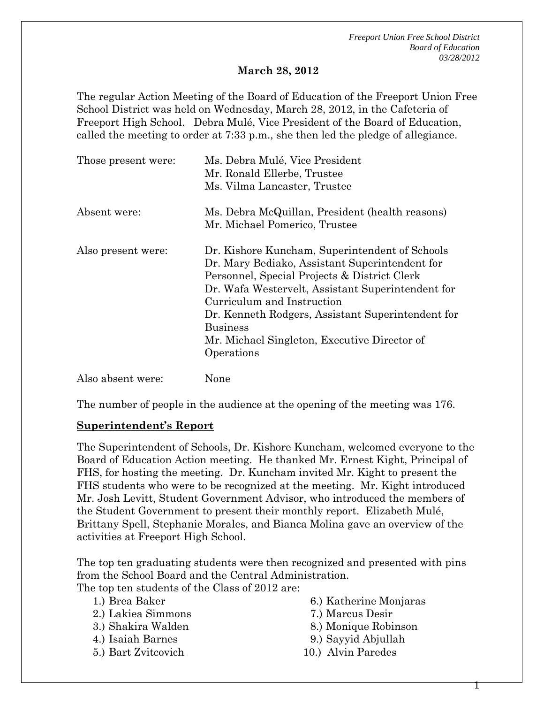*Freeport Union Free School District Board of Education 03/28/2012* 

#### **March 28, 2012**

The regular Action Meeting of the Board of Education of the Freeport Union Free School District was held on Wednesday, March 28, 2012, in the Cafeteria of Freeport High School. Debra Mulé, Vice President of the Board of Education, called the meeting to order at 7:33 p.m., she then led the pledge of allegiance.

| Those present were: | Ms. Debra Mulé, Vice President<br>Mr. Ronald Ellerbe, Trustee |
|---------------------|---------------------------------------------------------------|
|                     | Ms. Vilma Lancaster, Trustee                                  |
| Absent were:        | Ms. Debra McQuillan, President (health reasons)               |
|                     | Mr. Michael Pomerico, Trustee                                 |
| Also present were:  | Dr. Kishore Kuncham, Superintendent of Schools                |
|                     | Dr. Mary Bediako, Assistant Superintendent for                |
|                     | Personnel, Special Projects & District Clerk                  |
|                     | Dr. Wafa Westervelt, Assistant Superintendent for             |
|                     | Curriculum and Instruction                                    |
|                     | Dr. Kenneth Rodgers, Assistant Superintendent for             |
|                     | <b>Business</b>                                               |
|                     | Mr. Michael Singleton, Executive Director of                  |
|                     | Operations                                                    |
| Also absent were:   | None                                                          |

The number of people in the audience at the opening of the meeting was 176.

#### **Superintendent's Report**

The Superintendent of Schools, Dr. Kishore Kuncham, welcomed everyone to the Board of Education Action meeting. He thanked Mr. Ernest Kight, Principal of FHS, for hosting the meeting. Dr. Kuncham invited Mr. Kight to present the FHS students who were to be recognized at the meeting. Mr. Kight introduced Mr. Josh Levitt, Student Government Advisor, who introduced the members of the Student Government to present their monthly report. Elizabeth Mulé, Brittany Spell, Stephanie Morales, and Bianca Molina gave an overview of the activities at Freeport High School.

The top ten graduating students were then recognized and presented with pins from the School Board and the Central Administration.

The top ten students of the Class of 2012 are:

1.) Brea Baker

- 2.) Lakiea Simmons
- 3.) Shakira Walden
- 4.) Isaiah Barnes
- 5.) Bart Zvitcovich
- 6.) Katherine Monjaras
- 7.) Marcus Desir
- 8.) Monique Robinson

Т

- 9.) Sayyid Abjullah
- 10.) Alvin Paredes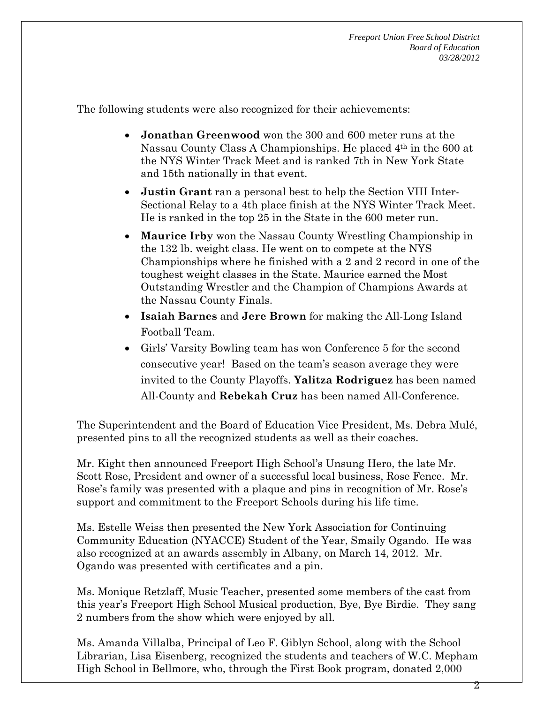The following students were also recognized for their achievements:

- **Jonathan Greenwood** won the 300 and 600 meter runs at the Nassau County Class A Championships. He placed 4th in the 600 at the NYS Winter Track Meet and is ranked 7th in New York State and 15th nationally in that event.
- **Justin Grant** ran a personal best to help the Section VIII Inter-Sectional Relay to a 4th place finish at the NYS Winter Track Meet. He is ranked in the top 25 in the State in the 600 meter run.
- **Maurice Irby** won the Nassau County Wrestling Championship in the 132 lb. weight class. He went on to compete at the NYS Championships where he finished with a 2 and 2 record in one of the toughest weight classes in the State. Maurice earned the Most Outstanding Wrestler and the Champion of Champions Awards at the Nassau County Finals.
- **Isaiah Barnes** and **Jere Brown** for making the All-Long Island Football Team.
- Girls' Varsity Bowling team has won Conference 5 for the second consecutive year! Based on the team's season average they were invited to the County Playoffs. **Yalitza Rodriguez** has been named All-County and **Rebekah Cruz** has been named All-Conference.

The Superintendent and the Board of Education Vice President, Ms. Debra Mulé, presented pins to all the recognized students as well as their coaches.

Mr. Kight then announced Freeport High School's Unsung Hero, the late Mr. Scott Rose, President and owner of a successful local business, Rose Fence. Mr. Rose's family was presented with a plaque and pins in recognition of Mr. Rose's support and commitment to the Freeport Schools during his life time.

Ms. Estelle Weiss then presented the New York Association for Continuing Community Education (NYACCE) Student of the Year, Smaily Ogando. He was also recognized at an awards assembly in Albany, on March 14, 2012. Mr. Ogando was presented with certificates and a pin.

Ms. Monique Retzlaff, Music Teacher, presented some members of the cast from this year's Freeport High School Musical production, Bye, Bye Birdie. They sang 2 numbers from the show which were enjoyed by all.

Ms. Amanda Villalba, Principal of Leo F. Giblyn School, along with the School Librarian, Lisa Eisenberg, recognized the students and teachers of W.C. Mepham High School in Bellmore, who, through the First Book program, donated 2,000

2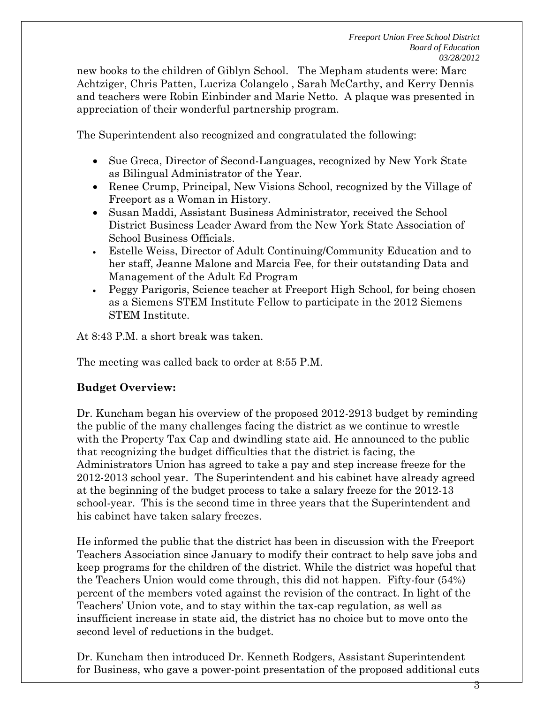new books to the children of Giblyn School. The Mepham students were: Marc Achtziger, Chris Patten, Lucriza Colangelo , Sarah McCarthy, and Kerry Dennis and teachers were Robin Einbinder and Marie Netto. A plaque was presented in appreciation of their wonderful partnership program.

The Superintendent also recognized and congratulated the following:

- Sue Greca, Director of Second-Languages, recognized by New York State as Bilingual Administrator of the Year.
- Renee Crump, Principal, New Visions School, recognized by the Village of Freeport as a Woman in History.
- Susan Maddi, Assistant Business Administrator, received the School District Business Leader Award from the New York State Association of School Business Officials.
- Estelle Weiss, Director of Adult Continuing/Community Education and to her staff, Jeanne Malone and Marcia Fee, for their outstanding Data and Management of the Adult Ed Program
- Peggy Parigoris, Science teacher at Freeport High School, for being chosen as a Siemens STEM Institute Fellow to participate in the 2012 Siemens STEM Institute.

At 8:43 P.M. a short break was taken.

The meeting was called back to order at 8:55 P.M.

### **Budget Overview:**

Dr. Kuncham began his overview of the proposed 2012-2913 budget by reminding the public of the many challenges facing the district as we continue to wrestle with the Property Tax Cap and dwindling state aid. He announced to the public that recognizing the budget difficulties that the district is facing, the Administrators Union has agreed to take a pay and step increase freeze for the 2012-2013 school year. The Superintendent and his cabinet have already agreed at the beginning of the budget process to take a salary freeze for the 2012-13 school-year. This is the second time in three years that the Superintendent and his cabinet have taken salary freezes.

He informed the public that the district has been in discussion with the Freeport Teachers Association since January to modify their contract to help save jobs and keep programs for the children of the district. While the district was hopeful that the Teachers Union would come through, this did not happen. Fifty-four (54%) percent of the members voted against the revision of the contract. In light of the Teachers' Union vote, and to stay within the tax-cap regulation, as well as insufficient increase in state aid, the district has no choice but to move onto the second level of reductions in the budget.

Dr. Kuncham then introduced Dr. Kenneth Rodgers, Assistant Superintendent for Business, who gave a power-point presentation of the proposed additional cuts

3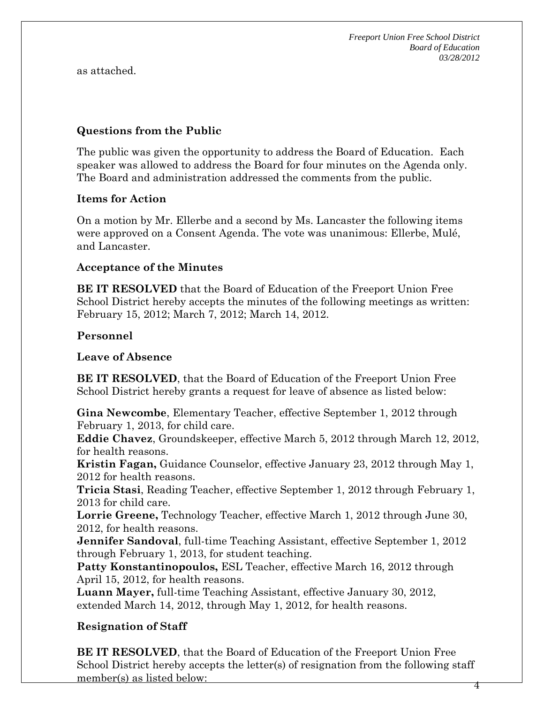*Freeport Union Free School District Board of Education 03/28/2012* 

as attached.

### **Questions from the Public**

The public was given the opportunity to address the Board of Education. Each speaker was allowed to address the Board for four minutes on the Agenda only. The Board and administration addressed the comments from the public.

### **Items for Action**

On a motion by Mr. Ellerbe and a second by Ms. Lancaster the following items were approved on a Consent Agenda. The vote was unanimous: Ellerbe, Mulé, and Lancaster.

#### **Acceptance of the Minutes**

**BE IT RESOLVED** that the Board of Education of the Freeport Union Free School District hereby accepts the minutes of the following meetings as written: February 15, 2012; March 7, 2012; March 14, 2012.

#### **Personnel**

**Leave of Absence** 

**BE IT RESOLVED**, that the Board of Education of the Freeport Union Free School District hereby grants a request for leave of absence as listed below:

**Gina Newcombe**, Elementary Teacher, effective September 1, 2012 through February 1, 2013, for child care.

**Eddie Chavez**, Groundskeeper, effective March 5, 2012 through March 12, 2012, for health reasons.

**Kristin Fagan,** Guidance Counselor, effective January 23, 2012 through May 1, 2012 for health reasons.

**Tricia Stasi**, Reading Teacher, effective September 1, 2012 through February 1, 2013 for child care.

**Lorrie Greene,** Technology Teacher, effective March 1, 2012 through June 30, 2012, for health reasons.

**Jennifer Sandoval**, full-time Teaching Assistant, effective September 1, 2012 through February 1, 2013, for student teaching.

**Patty Konstantinopoulos,** ESL Teacher, effective March 16, 2012 through April 15, 2012, for health reasons.

**Luann Mayer,** full-time Teaching Assistant, effective January 30, 2012, extended March 14, 2012, through May 1, 2012, for health reasons.

### **Resignation of Staff**

4 **BE IT RESOLVED**, that the Board of Education of the Freeport Union Free School District hereby accepts the letter(s) of resignation from the following staff member(s) as listed below: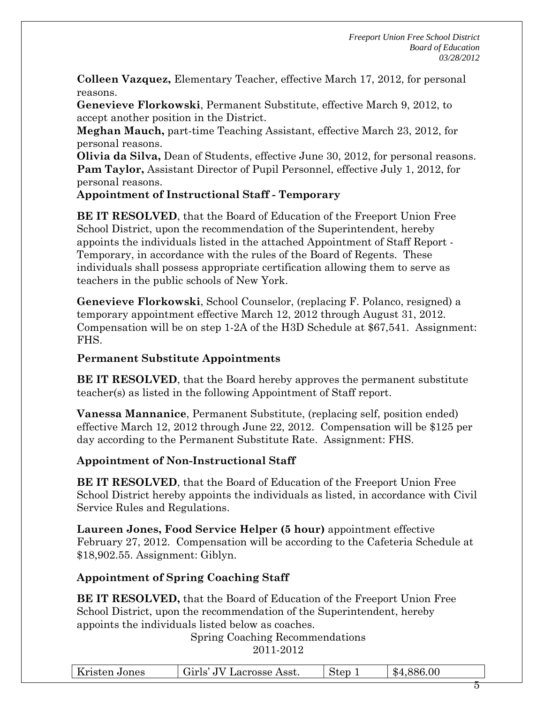**Colleen Vazquez,** Elementary Teacher, effective March 17, 2012, for personal reasons.

**Genevieve Florkowski**, Permanent Substitute, effective March 9, 2012, to accept another position in the District.

**Meghan Mauch,** part-time Teaching Assistant, effective March 23, 2012, for personal reasons.

**Olivia da Silva,** Dean of Students, effective June 30, 2012, for personal reasons. **Pam Taylor,** Assistant Director of Pupil Personnel, effective July 1, 2012, for personal reasons.

**Appointment of Instructional Staff - Temporary** 

**BE IT RESOLVED**, that the Board of Education of the Freeport Union Free School District, upon the recommendation of the Superintendent, hereby appoints the individuals listed in the attached Appointment of Staff Report - Temporary, in accordance with the rules of the Board of Regents. These individuals shall possess appropriate certification allowing them to serve as teachers in the public schools of New York.

**Genevieve Florkowski**, School Counselor, (replacing F. Polanco, resigned) a temporary appointment effective March 12, 2012 through August 31, 2012. Compensation will be on step 1-2A of the H3D Schedule at \$67,541. Assignment: FHS.

## **Permanent Substitute Appointments**

**BE IT RESOLVED**, that the Board hereby approves the permanent substitute teacher(s) as listed in the following Appointment of Staff report.

**Vanessa Mannanice**, Permanent Substitute, (replacing self, position ended) effective March 12, 2012 through June 22, 2012. Compensation will be \$125 per day according to the Permanent Substitute Rate. Assignment: FHS.

# **Appointment of Non-Instructional Staff**

**BE IT RESOLVED**, that the Board of Education of the Freeport Union Free School District hereby appoints the individuals as listed, in accordance with Civil Service Rules and Regulations.

**Laureen Jones, Food Service Helper (5 hour)** appointment effective February 27, 2012. Compensation will be according to the Cafeteria Schedule at \$18,902.55. Assignment: Giblyn.

# **Appointment of Spring Coaching Staff**

**BE IT RESOLVED,** that the Board of Education of the Freeport Union Free School District, upon the recommendation of the Superintendent, hereby appoints the individuals listed below as coaches.

Spring Coaching Recommendations

2011-2012

| Kristen<br>Jones<br>nsten | Asst.<br>erosse<br>ാരി ല<br>ar<br>v | $\overline{\phantom{a}}$<br>ten | 0 <sup>0</sup><br>൹<br>۰D۰ |        |
|---------------------------|-------------------------------------|---------------------------------|----------------------------|--------|
|                           |                                     |                                 |                            | $\sim$ |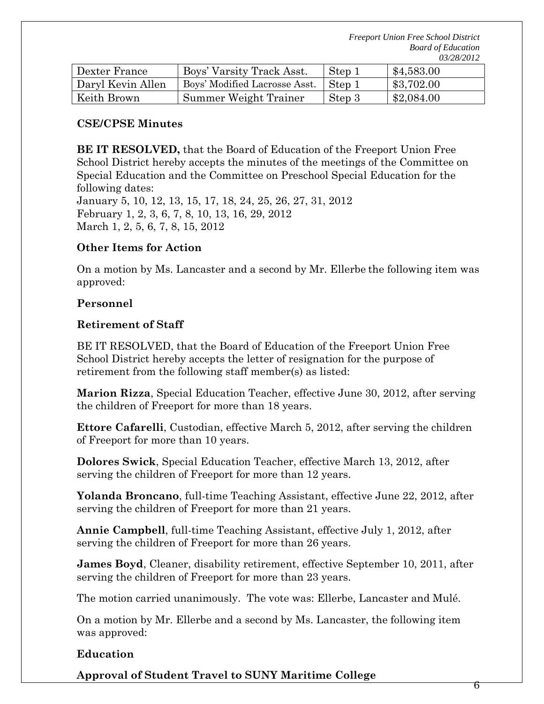*Freeport Union Free School District Board of Education 03/28/2012* 

| Dexter France     | Boys' Varsity Track Asst.     | Step 1 | \$4,583.00 |
|-------------------|-------------------------------|--------|------------|
| Daryl Kevin Allen | Boys' Modified Lacrosse Asst. | Step 1 | \$3,702.00 |
| Keith Brown       | Summer Weight Trainer         | Step 3 | \$2,084.00 |

#### **CSE/CPSE Minutes**

**BE IT RESOLVED,** that the Board of Education of the Freeport Union Free School District hereby accepts the minutes of the meetings of the Committee on Special Education and the Committee on Preschool Special Education for the following dates: January 5, 10, 12, 13, 15, 17, 18, 24, 25, 26, 27, 31, 2012

February 1, 2, 3, 6, 7, 8, 10, 13, 16, 29, 2012 March 1, 2, 5, 6, 7, 8, 15, 2012

### **Other Items for Action**

On a motion by Ms. Lancaster and a second by Mr. Ellerbe the following item was approved:

### **Personnel**

### **Retirement of Staff**

BE IT RESOLVED, that the Board of Education of the Freeport Union Free School District hereby accepts the letter of resignation for the purpose of retirement from the following staff member(s) as listed:

**Marion Rizza**, Special Education Teacher, effective June 30, 2012, after serving the children of Freeport for more than 18 years.

**Ettore Cafarelli**, Custodian, effective March 5, 2012, after serving the children of Freeport for more than 10 years.

**Dolores Swick**, Special Education Teacher, effective March 13, 2012, after serving the children of Freeport for more than 12 years.

**Yolanda Broncano**, full-time Teaching Assistant, effective June 22, 2012, after serving the children of Freeport for more than 21 years.

**Annie Campbell**, full-time Teaching Assistant, effective July 1, 2012, after serving the children of Freeport for more than 26 years.

**James Boyd**, Cleaner, disability retirement, effective September 10, 2011, after serving the children of Freeport for more than 23 years.

The motion carried unanimously. The vote was: Ellerbe, Lancaster and Mulé.

On a motion by Mr. Ellerbe and a second by Ms. Lancaster, the following item was approved:

### **Education**

**Approval of Student Travel to SUNY Maritime College**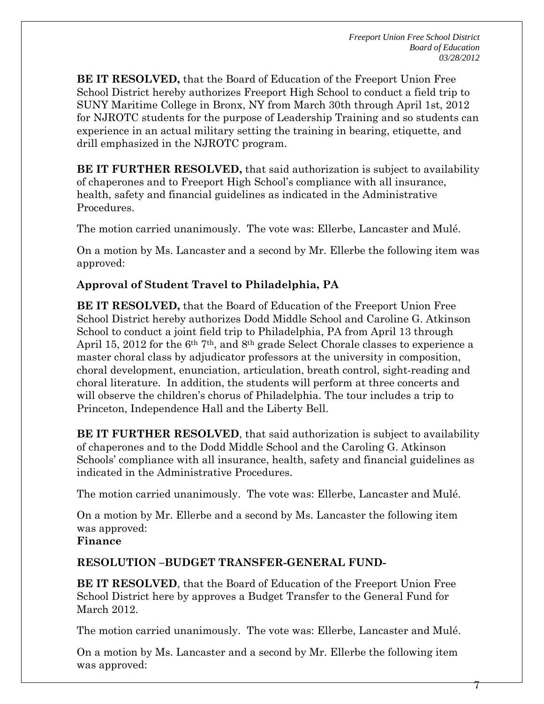$\gamma$ 

**BE IT RESOLVED,** that the Board of Education of the Freeport Union Free School District hereby authorizes Freeport High School to conduct a field trip to SUNY Maritime College in Bronx, NY from March 30th through April 1st, 2012 for NJROTC students for the purpose of Leadership Training and so students can experience in an actual military setting the training in bearing, etiquette, and drill emphasized in the NJROTC program.

**BE IT FURTHER RESOLVED,** that said authorization is subject to availability of chaperones and to Freeport High School's compliance with all insurance, health, safety and financial guidelines as indicated in the Administrative Procedures.

The motion carried unanimously. The vote was: Ellerbe, Lancaster and Mulé.

On a motion by Ms. Lancaster and a second by Mr. Ellerbe the following item was approved:

## **Approval of Student Travel to Philadelphia, PA**

**BE IT RESOLVED,** that the Board of Education of the Freeport Union Free School District hereby authorizes Dodd Middle School and Caroline G. Atkinson School to conduct a joint field trip to Philadelphia, PA from April 13 through April 15, 2012 for the  $6<sup>th</sup> 7<sup>th</sup>$ , and  $8<sup>th</sup>$  grade Select Chorale classes to experience a master choral class by adjudicator professors at the university in composition, choral development, enunciation, articulation, breath control, sight-reading and choral literature. In addition, the students will perform at three concerts and will observe the children's chorus of Philadelphia. The tour includes a trip to Princeton, Independence Hall and the Liberty Bell.

**BE IT FURTHER RESOLVED**, that said authorization is subject to availability of chaperones and to the Dodd Middle School and the Caroling G. Atkinson Schools' compliance with all insurance, health, safety and financial guidelines as indicated in the Administrative Procedures.

The motion carried unanimously. The vote was: Ellerbe, Lancaster and Mulé.

On a motion by Mr. Ellerbe and a second by Ms. Lancaster the following item was approved:

### **Finance**

### **RESOLUTION –BUDGET TRANSFER-GENERAL FUND-**

**BE IT RESOLVED**, that the Board of Education of the Freeport Union Free School District here by approves a Budget Transfer to the General Fund for March 2012.

The motion carried unanimously. The vote was: Ellerbe, Lancaster and Mulé.

On a motion by Ms. Lancaster and a second by Mr. Ellerbe the following item was approved: